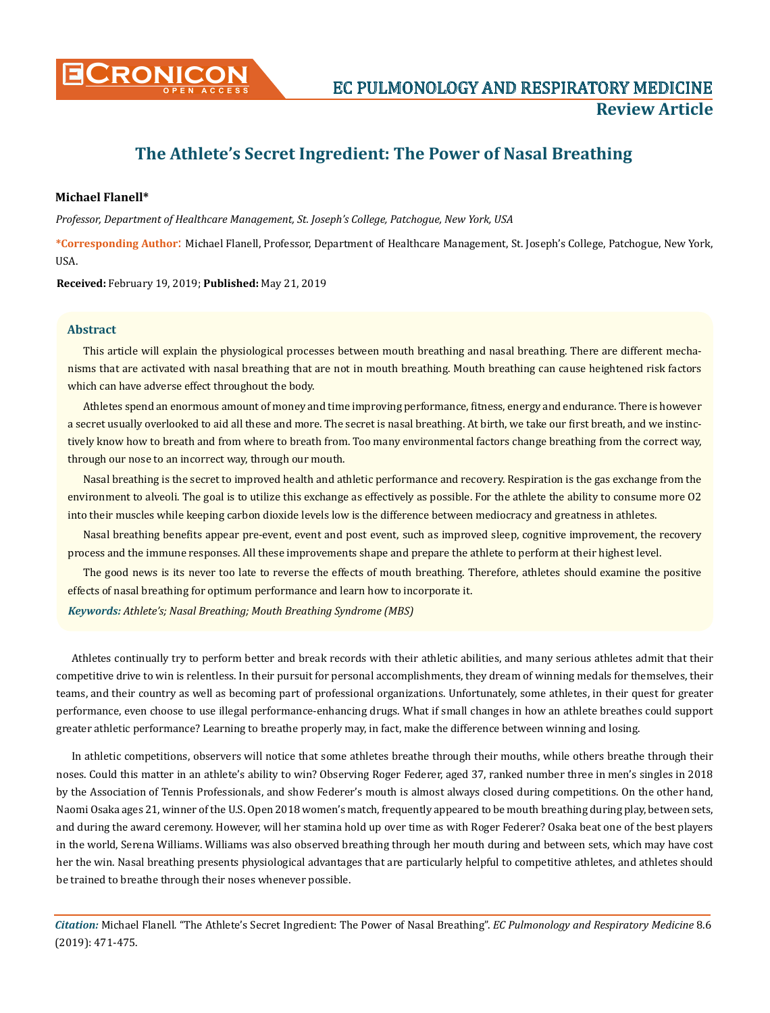

# **The Athlete's Secret Ingredient: The Power of Nasal Breathing**

## **Michael Flanell\***

*Professor, Department of Healthcare Management, St. Joseph's College, Patchogue, New York, USA* 

**\*Corresponding Author**: Michael Flanell, Professor, Department of Healthcare Management, St. Joseph's College, Patchogue, New York, USA.

**Received:** February 19, 2019; **Published:** May 21, 2019

### **Abstract**

This article will explain the physiological processes between mouth breathing and nasal breathing. There are different mechanisms that are activated with nasal breathing that are not in mouth breathing. Mouth breathing can cause heightened risk factors which can have adverse effect throughout the body.

Athletes spend an enormous amount of money and time improving performance, fitness, energy and endurance. There is however a secret usually overlooked to aid all these and more. The secret is nasal breathing. At birth, we take our first breath, and we instinctively know how to breath and from where to breath from. Too many environmental factors change breathing from the correct way, through our nose to an incorrect way, through our mouth.

Nasal breathing is the secret to improved health and athletic performance and recovery. Respiration is the gas exchange from the environment to alveoli. The goal is to utilize this exchange as effectively as possible. For the athlete the ability to consume more O2 into their muscles while keeping carbon dioxide levels low is the difference between mediocracy and greatness in athletes.

Nasal breathing benefits appear pre-event, event and post event, such as improved sleep, cognitive improvement, the recovery process and the immune responses. All these improvements shape and prepare the athlete to perform at their highest level.

The good news is its never too late to reverse the effects of mouth breathing. Therefore, athletes should examine the positive effects of nasal breathing for optimum performance and learn how to incorporate it.

*Keywords: Athlete's; Nasal Breathing; Mouth Breathing Syndrome (MBS)*

Athletes continually try to perform better and break records with their athletic abilities, and many serious athletes admit that their competitive drive to win is relentless. In their pursuit for personal accomplishments, they dream of winning medals for themselves, their teams, and their country as well as becoming part of professional organizations. Unfortunately, some athletes, in their quest for greater performance, even choose to use illegal performance-enhancing drugs. What if small changes in how an athlete breathes could support greater athletic performance? Learning to breathe properly may, in fact, make the difference between winning and losing.

In athletic competitions, observers will notice that some athletes breathe through their mouths, while others breathe through their noses. Could this matter in an athlete's ability to win? Observing Roger Federer, aged 37, ranked number three in men's singles in 2018 by the Association of Tennis Professionals, and show Federer's mouth is almost always closed during competitions. On the other hand, Naomi Osaka ages 21, winner of the U.S. Open 2018 women's match, frequently appeared to be mouth breathing during play, between sets, and during the award ceremony. However, will her stamina hold up over time as with Roger Federer? Osaka beat one of the best players in the world, Serena Williams. Williams was also observed breathing through her mouth during and between sets, which may have cost her the win. Nasal breathing presents physiological advantages that are particularly helpful to competitive athletes, and athletes should be trained to breathe through their noses whenever possible.

*Citation:* Michael Flanell*.* "The Athlete's Secret Ingredient: The Power of Nasal Breathing". *EC Pulmonology and Respiratory Medicine* 8.6 (2019): 471-475.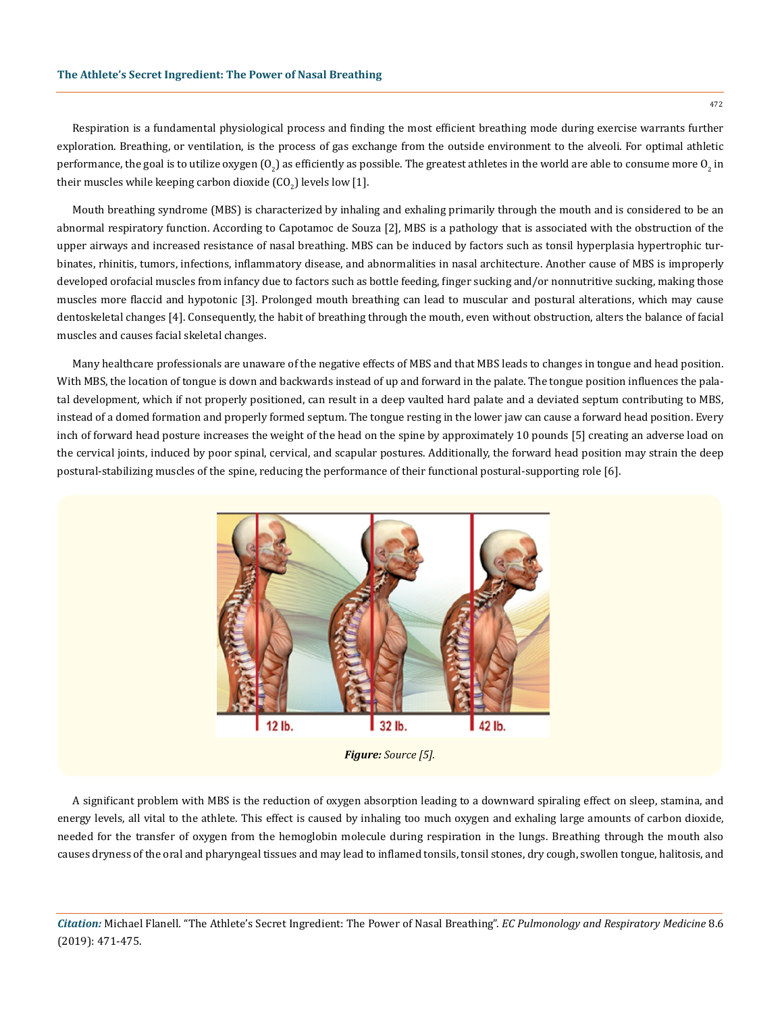Respiration is a fundamental physiological process and finding the most efficient breathing mode during exercise warrants further exploration. Breathing, or ventilation, is the process of gas exchange from the outside environment to the alveoli. For optimal athletic performance, the goal is to utilize oxygen (O<sub>2</sub>) as efficiently as possible. The greatest athletes in the world are able to consume more O<sub>2</sub> in their muscles while keeping carbon dioxide  $({\rm CO}_2)$  levels low [1].

Mouth breathing syndrome (MBS) is characterized by inhaling and exhaling primarily through the mouth and is considered to be an abnormal respiratory function. According to Capotamoc de Souza [2], MBS is a pathology that is associated with the obstruction of the upper airways and increased resistance of nasal breathing. MBS can be induced by factors such as tonsil hyperplasia hypertrophic turbinates, rhinitis, tumors, infections, inflammatory disease, and abnormalities in nasal architecture. Another cause of MBS is improperly developed orofacial muscles from infancy due to factors such as bottle feeding, finger sucking and/or nonnutritive sucking, making those muscles more flaccid and hypotonic [3]. Prolonged mouth breathing can lead to muscular and postural alterations, which may cause dentoskeletal changes [4]. Consequently, the habit of breathing through the mouth, even without obstruction, alters the balance of facial muscles and causes facial skeletal changes.

Many healthcare professionals are unaware of the negative effects of MBS and that MBS leads to changes in tongue and head position. With MBS, the location of tongue is down and backwards instead of up and forward in the palate. The tongue position influences the palatal development, which if not properly positioned, can result in a deep vaulted hard palate and a deviated septum contributing to MBS, instead of a domed formation and properly formed septum. The tongue resting in the lower jaw can cause a forward head position. Every inch of forward head posture increases the weight of the head on the spine by approximately 10 pounds [5] creating an adverse load on the cervical joints, induced by poor spinal, cervical, and scapular postures. Additionally, the forward head position may strain the deep postural-stabilizing muscles of the spine, reducing the performance of their functional postural-supporting role [6].



*Figure: Source [5].*

A significant problem with MBS is the reduction of oxygen absorption leading to a downward spiraling effect on sleep, stamina, and energy levels, all vital to the athlete. This effect is caused by inhaling too much oxygen and exhaling large amounts of carbon dioxide, needed for the transfer of oxygen from the hemoglobin molecule during respiration in the lungs. Breathing through the mouth also causes dryness of the oral and pharyngeal tissues and may lead to inflamed tonsils, tonsil stones, dry cough, swollen tongue, halitosis, and

*Citation:* Michael Flanell*.* "The Athlete's Secret Ingredient: The Power of Nasal Breathing". *EC Pulmonology and Respiratory Medicine* 8.6 (2019): 471-475.

472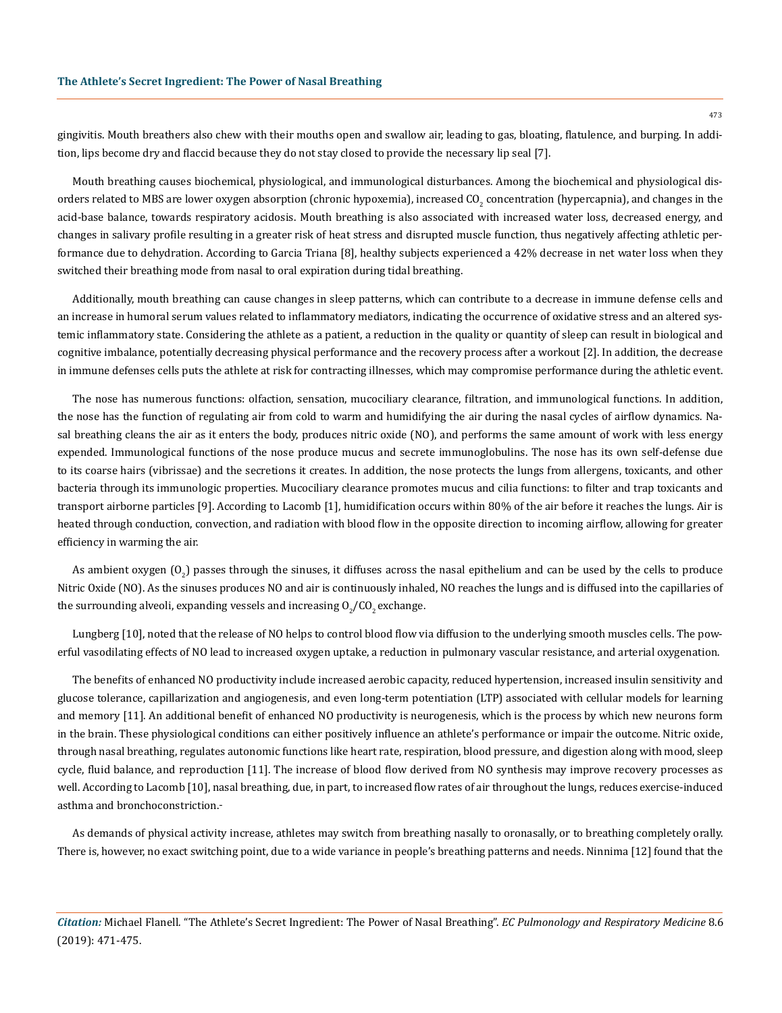gingivitis. Mouth breathers also chew with their mouths open and swallow air, leading to gas, bloating, flatulence, and burping. In addition, lips become dry and flaccid because they do not stay closed to provide the necessary lip seal [7].

Mouth breathing causes biochemical, physiological, and immunological disturbances. Among the biochemical and physiological disorders related to MBS are lower oxygen absorption (chronic hypoxemia), increased CO<sub>2</sub> concentration (hypercapnia), and changes in the acid-base balance, towards respiratory acidosis. Mouth breathing is also associated with increased water loss, decreased energy, and changes in salivary profile resulting in a greater risk of heat stress and disrupted muscle function, thus negatively affecting athletic performance due to dehydration. According to Garcia Triana [8], healthy subjects experienced a 42% decrease in net water loss when they switched their breathing mode from nasal to oral expiration during tidal breathing.

Additionally, mouth breathing can cause changes in sleep patterns, which can contribute to a decrease in immune defense cells and an increase in humoral serum values related to inflammatory mediators, indicating the occurrence of oxidative stress and an altered systemic inflammatory state. Considering the athlete as a patient, a reduction in the quality or quantity of sleep can result in biological and cognitive imbalance, potentially decreasing physical performance and the recovery process after a workout [2]. In addition, the decrease in immune defenses cells puts the athlete at risk for contracting illnesses, which may compromise performance during the athletic event.

The nose has numerous functions: olfaction, sensation, mucociliary clearance, filtration, and immunological functions. In addition, the nose has the function of regulating air from cold to warm and humidifying the air during the nasal cycles of airflow dynamics. Nasal breathing cleans the air as it enters the body, produces nitric oxide (NO), and performs the same amount of work with less energy expended. Immunological functions of the nose produce mucus and secrete immunoglobulins. The nose has its own self-defense due to its coarse hairs (vibrissae) and the secretions it creates. In addition, the nose protects the lungs from allergens, toxicants, and other bacteria through its immunologic properties. Mucociliary clearance promotes mucus and cilia functions: to filter and trap toxicants and transport airborne particles [9]. According to Lacomb [1], humidification occurs within 80% of the air before it reaches the lungs. Air is heated through conduction, convection, and radiation with blood flow in the opposite direction to incoming airflow, allowing for greater efficiency in warming the air.

As ambient oxygen (O<sub>2</sub>) passes through the sinuses, it diffuses across the nasal epithelium and can be used by the cells to produce Nitric Oxide (NO). As the sinuses produces NO and air is continuously inhaled, NO reaches the lungs and is diffused into the capillaries of the surrounding alveoli, expanding vessels and increasing  $0_{\text{2}}$ /CO $_{\text{2}}$  exchange.

Lungberg [10], noted that the release of NO helps to control blood flow via diffusion to the underlying smooth muscles cells. The powerful vasodilating effects of NO lead to increased oxygen uptake, a reduction in pulmonary vascular resistance, and arterial oxygenation.

The benefits of enhanced NO productivity include increased aerobic capacity, reduced hypertension, increased insulin sensitivity and glucose tolerance, capillarization and angiogenesis, and even long-term potentiation (LTP) associated with cellular models for learning and memory [11]. An additional benefit of enhanced NO productivity is neurogenesis, which is the process by which new neurons form in the brain. These physiological conditions can either positively influence an athlete's performance or impair the outcome. Nitric oxide, through nasal breathing, regulates autonomic functions like heart rate, respiration, blood pressure, and digestion along with mood, sleep cycle, fluid balance, and reproduction [11]. The increase of blood flow derived from NO synthesis may improve recovery processes as well. According to Lacomb [10], nasal breathing, due, in part, to increased flow rates of air throughout the lungs, reduces exercise-induced asthma and bronchoconstriction.

As demands of physical activity increase, athletes may switch from breathing nasally to oronasally, or to breathing completely orally. There is, however, no exact switching point, due to a wide variance in people's breathing patterns and needs. Ninnima [12] found that the

*Citation:* Michael Flanell*.* "The Athlete's Secret Ingredient: The Power of Nasal Breathing". *EC Pulmonology and Respiratory Medicine* 8.6 (2019): 471-475.

473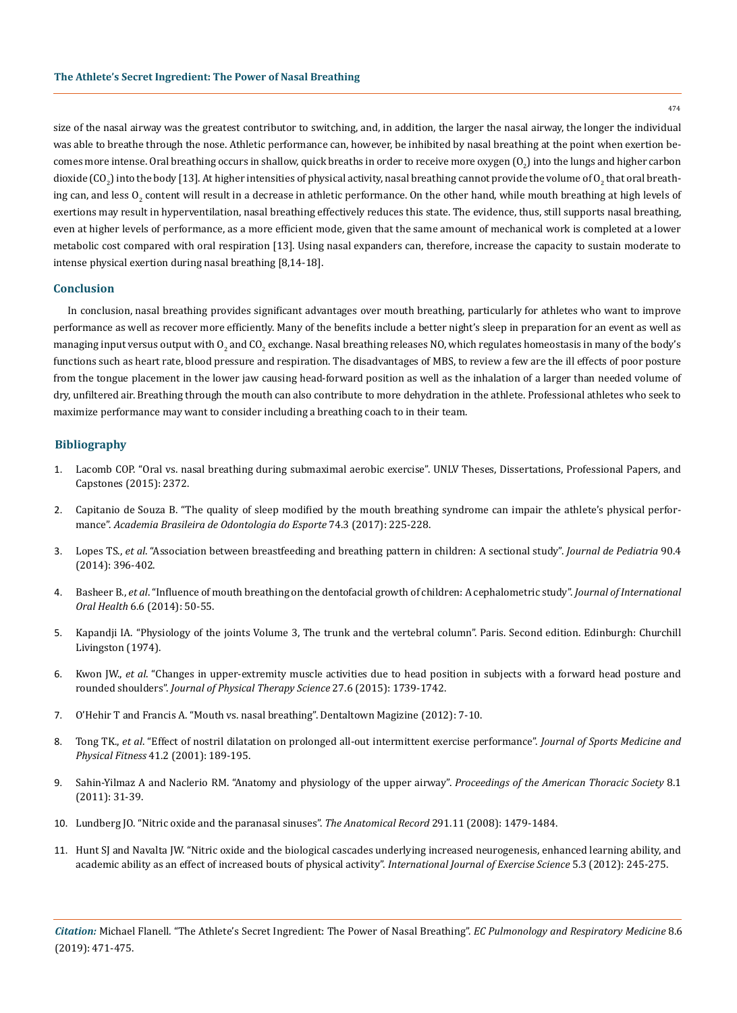size of the nasal airway was the greatest contributor to switching, and, in addition, the larger the nasal airway, the longer the individual was able to breathe through the nose. Athletic performance can, however, be inhibited by nasal breathing at the point when exertion becomes more intense. Oral breathing occurs in shallow, quick breaths in order to receive more oxygen (O $_2$ ) into the lungs and higher carbon dioxide (CO<sub>2</sub>) into the body [13]. At higher intensities of physical activity, nasal breathing cannot provide the volume of O<sub>2</sub> that oral breathing can, and less  $0_2$  content will result in a decrease in athletic performance. On the other hand, while mouth breathing at high levels of exertions may result in hyperventilation, nasal breathing effectively reduces this state. The evidence, thus, still supports nasal breathing, even at higher levels of performance, as a more efficient mode, given that the same amount of mechanical work is completed at a lower metabolic cost compared with oral respiration [13]. Using nasal expanders can, therefore, increase the capacity to sustain moderate to intense physical exertion during nasal breathing [8,14-18].

#### **Conclusion**

In conclusion, nasal breathing provides significant advantages over mouth breathing, particularly for athletes who want to improve performance as well as recover more efficiently. Many of the benefits include a better night's sleep in preparation for an event as well as managing input versus output with  $0_{\rm z}$  and CO $_{\rm z}$  exchange. Nasal breathing releases NO, which regulates homeostasis in many of the body's functions such as heart rate, blood pressure and respiration. The disadvantages of MBS, to review a few are the ill effects of poor posture from the tongue placement in the lower jaw causing head-forward position as well as the inhalation of a larger than needed volume of dry, unfiltered air. Breathing through the mouth can also contribute to more dehydration in the athlete. Professional athletes who seek to maximize performance may want to consider including a breathing coach to in their team.

### **Bibliography**

- 1. [Lacomb COP. "Oral vs. nasal breathing during submaximal aerobic exercise". UNLV Theses, Dissertations, Professional Papers, and](https://digitalscholarship.unlv.edu/thesesdissertations/2372) [Capstones \(2015\): 2372.](https://digitalscholarship.unlv.edu/thesesdissertations/2372)
- 2. [Capitanio de Souza B. "The quality of sleep modified by the mouth breathing syndrome can impair the athlete's physical perfor](https://pdfs.semanticscholar.org/dfaf/cdc36503061d475ff2203ca7db78c0337c2d.pdf)mance". *[Academia Brasileira de Odontologia do Esporte](https://pdfs.semanticscholar.org/dfaf/cdc36503061d475ff2203ca7db78c0337c2d.pdf)* 74.3 (2017): 225-228.
- 3. Lopes TS., *et al*[. "Association between breastfeeding and breathing pattern in children: A sectional study".](https://www.ncbi.nlm.nih.gov/pubmed/24703820) *Journal de Pediatria* 90.4 [\(2014\): 396-402.](https://www.ncbi.nlm.nih.gov/pubmed/24703820)
- 4. Basheer B., *et al*[. "Influence of mouth breathing on the dentofacial growth of children: A cephalometric study".](https://www.ncbi.nlm.nih.gov/pmc/articles/PMC4295456/) *Journal of International Oral Health* [6.6 \(2014\): 50-55.](https://www.ncbi.nlm.nih.gov/pmc/articles/PMC4295456/)
- 5. Kapandji IA. "Physiology of the joints Volume 3, The trunk and the vertebral column". Paris. Second edition. Edinburgh: Churchill Livingston (1974).
- 6. Kwon JW., *et al*[. "Changes in upper-extremity muscle activities due to head position in subjects with a forward head posture and](https://www.ncbi.nlm.nih.gov/pubmed/26180310) rounded shoulders". *[Journal of Physical Therapy Science](https://www.ncbi.nlm.nih.gov/pubmed/26180310)* 27.6 (2015): 1739-1742.
- 7. O'Hehir T and Francis A. "Mouth vs. nasal breathing". Dentaltown Magizine (2012): 7-10.
- 8. Tong TK., *et al*[. "Effect of nostril dilatation on prolonged all-out intermittent exercise performance".](https://www.ncbi.nlm.nih.gov/pubmed/11447361) *Journal of Sports Medicine and Physical Fitness* [41.2 \(2001\): 189-195.](https://www.ncbi.nlm.nih.gov/pubmed/11447361)
- 9. [Sahin-Yilmaz A and Naclerio RM. "Anatomy and physiology of the upper airway".](https://www.ncbi.nlm.nih.gov/pubmed/21364219) *Proceedings of the American Thoracic Society* 8.1 [\(2011\): 31-39.](https://www.ncbi.nlm.nih.gov/pubmed/21364219)
- 10. [Lundberg JO. "Nitric oxide and the paranasal sinuses".](https://www.ncbi.nlm.nih.gov/pubmed/18951492) *The Anatomical Record* 291.11 (2008): 1479-1484.
- 11. [Hunt SJ and Navalta JW. "Nitric oxide and the biological cascades underlying increased neurogenesis, enhanced learning ability, and](https://www.ncbi.nlm.nih.gov/pmc/articles/PMC4738928/) [academic ability as an effect of increased bouts of physical activity".](https://www.ncbi.nlm.nih.gov/pmc/articles/PMC4738928/) *International Journal of Exercise Science* 5.3 (2012): 245-275.

*Citation:* Michael Flanell*.* "The Athlete's Secret Ingredient: The Power of Nasal Breathing". *EC Pulmonology and Respiratory Medicine* 8.6 (2019): 471-475.

474